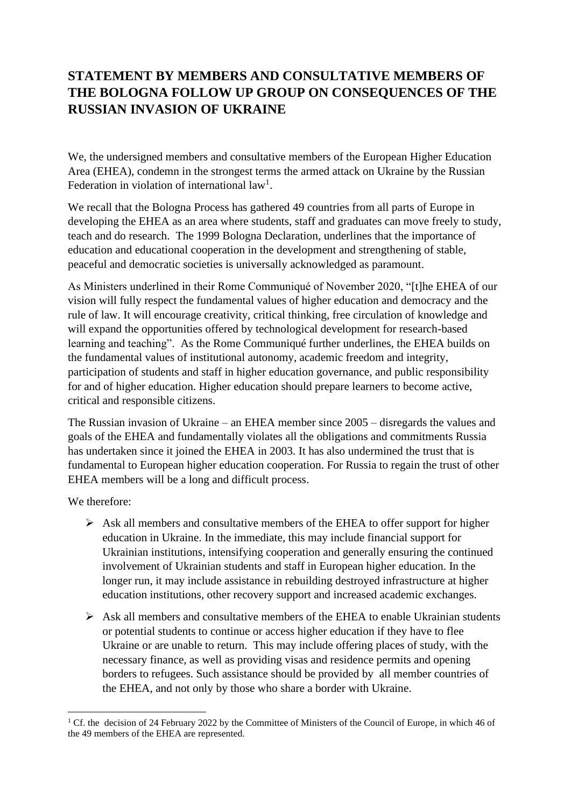## **STATEMENT BY MEMBERS AND CONSULTATIVE MEMBERS OF THE BOLOGNA FOLLOW UP GROUP ON CONSEQUENCES OF THE RUSSIAN INVASION OF UKRAINE**

We, the undersigned members and consultative members of the European Higher Education Area (EHEA), condemn in the strongest terms the armed attack on Ukraine by the Russian Federation in violation of international law<sup>1</sup>.

We recall that the Bologna Process has gathered 49 countries from all parts of Europe in developing the EHEA as an area where students, staff and graduates can move freely to study, teach and do research. The 1999 Bologna Declaration, underlines that the importance of education and educational cooperation in the development and strengthening of stable, peaceful and democratic societies is universally acknowledged as paramount.

As Ministers underlined in their Rome Communiqué of November 2020, "[t]he EHEA of our vision will fully respect the fundamental values of higher education and democracy and the rule of law. It will encourage creativity, critical thinking, free circulation of knowledge and will expand the opportunities offered by technological development for research-based learning and teaching". As the Rome Communiqué further underlines, the EHEA builds on the fundamental values of institutional autonomy, academic freedom and integrity, participation of students and staff in higher education governance, and public responsibility for and of higher education. Higher education should prepare learners to become active, critical and responsible citizens.

The Russian invasion of Ukraine – an EHEA member since 2005 – disregards the values and goals of the EHEA and fundamentally violates all the obligations and commitments Russia has undertaken since it joined the EHEA in 2003. It has also undermined the trust that is fundamental to European higher education cooperation. For Russia to regain the trust of other EHEA members will be a long and difficult process.

We therefore:

- $\triangleright$  Ask all members and consultative members of the EHEA to offer support for higher education in Ukraine. In the immediate, this may include financial support for Ukrainian institutions, intensifying cooperation and generally ensuring the continued involvement of Ukrainian students and staff in European higher education. In the longer run, it may include assistance in rebuilding destroyed infrastructure at higher education institutions, other recovery support and increased academic exchanges.
- ➢ Ask all members and consultative members of the EHEA to enable Ukrainian students or potential students to continue or access higher education if they have to flee Ukraine or are unable to return. This may include offering places of study, with the necessary finance, as well as providing visas and residence permits and opening borders to refugees. Such assistance should be provided by all member countries of the EHEA, and not only by those who share a border with Ukraine.

<sup>&</sup>lt;sup>1</sup> Cf. the decision of 24 February 2022 by the Committee of Ministers of the Council of Europe, in which 46 of the 49 members of the EHEA are represented.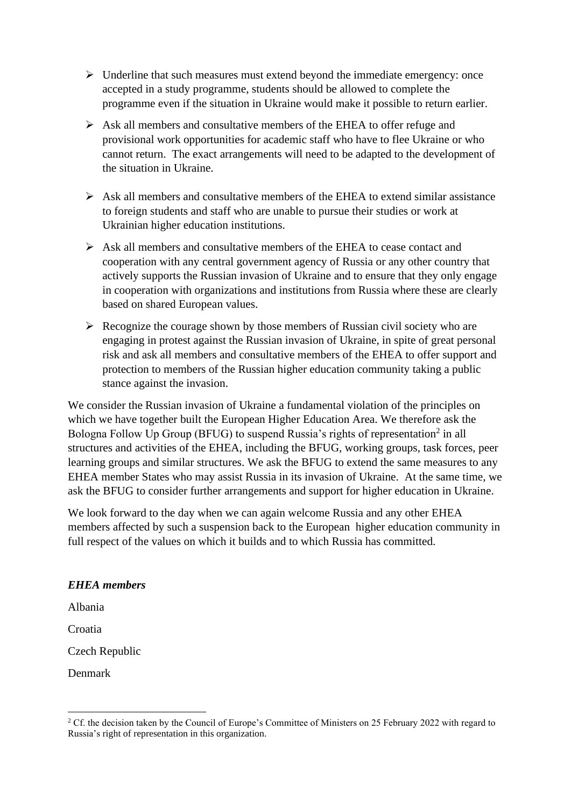- ➢ Underline that such measures must extend beyond the immediate emergency: once accepted in a study programme, students should be allowed to complete the programme even if the situation in Ukraine would make it possible to return earlier.
- ➢ Ask all members and consultative members of the EHEA to offer refuge and provisional work opportunities for academic staff who have to flee Ukraine or who cannot return. The exact arrangements will need to be adapted to the development of the situation in Ukraine.
- $\triangleright$  Ask all members and consultative members of the EHEA to extend similar assistance to foreign students and staff who are unable to pursue their studies or work at Ukrainian higher education institutions.
- ➢ Ask all members and consultative members of the EHEA to cease contact and cooperation with any central government agency of Russia or any other country that actively supports the Russian invasion of Ukraine and to ensure that they only engage in cooperation with organizations and institutions from Russia where these are clearly based on shared European values.
- $\triangleright$  Recognize the courage shown by those members of Russian civil society who are engaging in protest against the Russian invasion of Ukraine, in spite of great personal risk and ask all members and consultative members of the EHEA to offer support and protection to members of the Russian higher education community taking a public stance against the invasion.

We consider the Russian invasion of Ukraine a fundamental violation of the principles on which we have together built the European Higher Education Area. We therefore ask the Bologna Follow Up Group (BFUG) to suspend Russia's rights of representation<sup>2</sup> in all structures and activities of the EHEA, including the BFUG, working groups, task forces, peer learning groups and similar structures. We ask the BFUG to extend the same measures to any EHEA member States who may assist Russia in its invasion of Ukraine. At the same time, we ask the BFUG to consider further arrangements and support for higher education in Ukraine.

We look forward to the day when we can again welcome Russia and any other EHEA members affected by such a suspension back to the European higher education community in full respect of the values on which it builds and to which Russia has committed.

## *EHEA members*

Albania

Croatia

Czech Republic

Denmark

<sup>&</sup>lt;sup>2</sup> Cf. the decision taken by the Council of Europe's Committee of Ministers on 25 February 2022 with regard to Russia's right of representation in this organization.